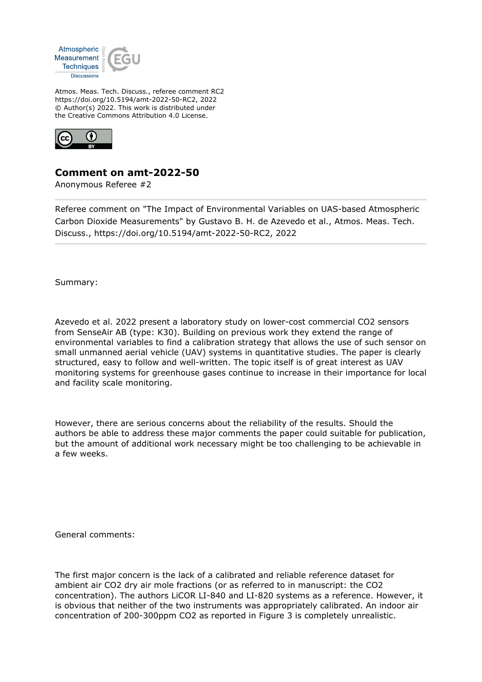

Atmos. Meas. Tech. Discuss., referee comment RC2 https://doi.org/10.5194/amt-2022-50-RC2, 2022 © Author(s) 2022. This work is distributed under the Creative Commons Attribution 4.0 License.



## **Comment on amt-2022-50**

Anonymous Referee #2

Referee comment on "The Impact of Environmental Variables on UAS-based Atmospheric Carbon Dioxide Measurements" by Gustavo B. H. de Azevedo et al., Atmos. Meas. Tech. Discuss., https://doi.org/10.5194/amt-2022-50-RC2, 2022

Summary:

Azevedo et al. 2022 present a laboratory study on lower-cost commercial CO2 sensors from SenseAir AB (type: K30). Building on previous work they extend the range of environmental variables to find a calibration strategy that allows the use of such sensor on small unmanned aerial vehicle (UAV) systems in quantitative studies. The paper is clearly structured, easy to follow and well-written. The topic itself is of great interest as UAV monitoring systems for greenhouse gases continue to increase in their importance for local and facility scale monitoring.

However, there are serious concerns about the reliability of the results. Should the authors be able to address these major comments the paper could suitable for publication, but the amount of additional work necessary might be too challenging to be achievable in a few weeks.

General comments:

The first major concern is the lack of a calibrated and reliable reference dataset for ambient air CO2 dry air mole fractions (or as referred to in manuscript: the CO2 concentration). The authors LiCOR LI-840 and LI-820 systems as a reference. However, it is obvious that neither of the two instruments was appropriately calibrated. An indoor air concentration of 200-300ppm CO2 as reported in Figure 3 is completely unrealistic.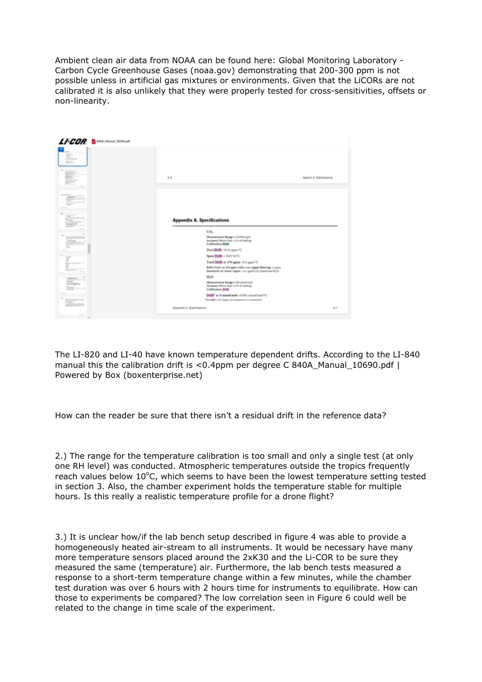Ambient clean air data from NOAA can be found here: Global Monitoring Laboratory - Carbon Cycle Greenhouse Gases (noaa.gov) demonstrating that 200-300 ppm is not possible unless in artificial gas mixtures or environments. Given that the LiCORs are not calibrated it is also unlikely that they were properly tested for cross-sensitivities, offsets or non-linearity.



The LI-820 and LI-40 have known temperature dependent drifts. According to the LI-840 manual this the calibration drift is <0.4ppm per degree C 840A\_Manual\_10690.pdf | Powered by Box (boxenterprise.net)

How can the reader be sure that there isn't a residual drift in the reference data?

2.) The range for the temperature calibration is too small and only a single test (at only one RH level) was conducted. Atmospheric temperatures outside the tropics frequently reach values below  $10^{\circ}$ C, which seems to have been the lowest temperature setting tested in section 3. Also, the chamber experiment holds the temperature stable for multiple hours. Is this really a realistic temperature profile for a drone flight?

3.) It is unclear how/if the lab bench setup described in figure 4 was able to provide a homogeneously heated air-stream to all instruments. It would be necessary have many more temperature sensors placed around the 2xK30 and the Li-COR to be sure they measured the same (temperature) air. Furthermore, the lab bench tests measured a response to a short-term temperature change within a few minutes, while the chamber test duration was over 6 hours with 2 hours time for instruments to equilibrate. How can those to experiments be compared? The low correlation seen in Figure 6 could well be related to the change in time scale of the experiment.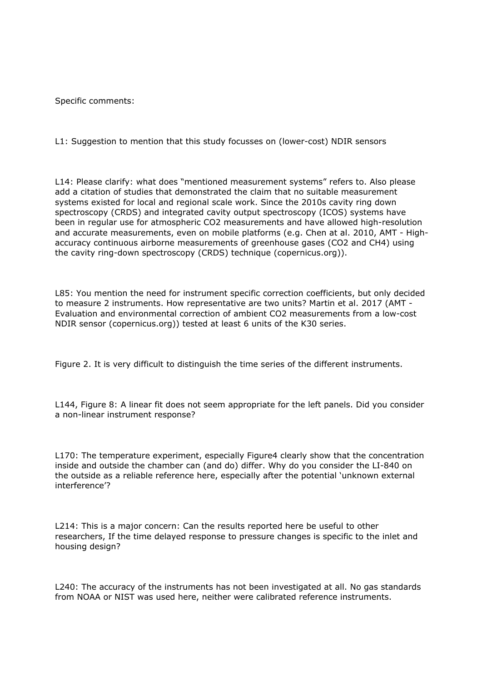Specific comments:

L1: Suggestion to mention that this study focusses on (lower-cost) NDIR sensors

L14: Please clarify: what does "mentioned measurement systems" refers to. Also please add a citation of studies that demonstrated the claim that no suitable measurement systems existed for local and regional scale work. Since the 2010s cavity ring down spectroscopy (CRDS) and integrated cavity output spectroscopy (ICOS) systems have been in regular use for atmospheric CO2 measurements and have allowed high-resolution and accurate measurements, even on mobile platforms (e.g. Chen at al. 2010, AMT - Highaccuracy continuous airborne measurements of greenhouse gases (CO2 and CH4) using the cavity ring-down spectroscopy (CRDS) technique (copernicus.org)).

L85: You mention the need for instrument specific correction coefficients, but only decided to measure 2 instruments. How representative are two units? Martin et al. 2017 (AMT - Evaluation and environmental correction of ambient CO2 measurements from a low-cost NDIR sensor (copernicus.org)) tested at least 6 units of the K30 series.

Figure 2. It is very difficult to distinguish the time series of the different instruments.

L144, Figure 8: A linear fit does not seem appropriate for the left panels. Did you consider a non-linear instrument response?

L170: The temperature experiment, especially Figure4 clearly show that the concentration inside and outside the chamber can (and do) differ. Why do you consider the LI-840 on the outside as a reliable reference here, especially after the potential 'unknown external interference'?

L214: This is a major concern: Can the results reported here be useful to other researchers, If the time delayed response to pressure changes is specific to the inlet and housing design?

L240: The accuracy of the instruments has not been investigated at all. No gas standards from NOAA or NIST was used here, neither were calibrated reference instruments.